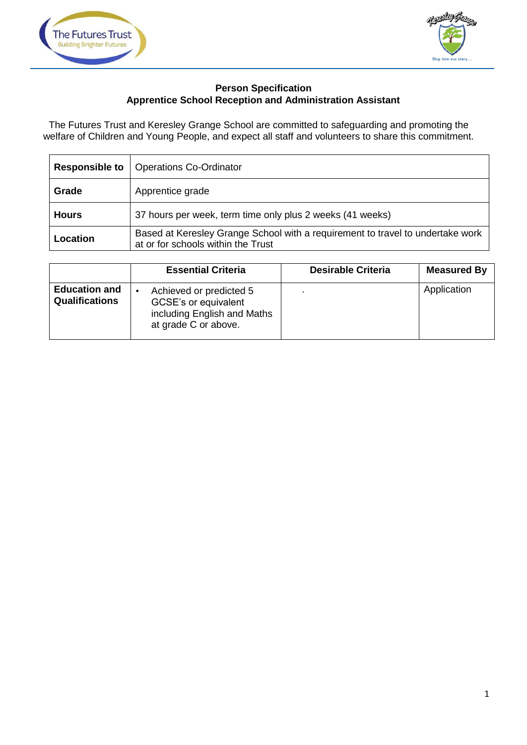



## **Person Specification Apprentice School Reception and Administration Assistant**

The Futures Trust and Keresley Grange School are committed to safeguarding and promoting the welfare of Children and Young People, and expect all staff and volunteers to share this commitment.

| <b>Responsible to</b> | <b>Operations Co-Ordinator</b>                                                                                       |  |  |
|-----------------------|----------------------------------------------------------------------------------------------------------------------|--|--|
| Grade                 | Apprentice grade                                                                                                     |  |  |
| <b>Hours</b>          | 37 hours per week, term time only plus 2 weeks (41 weeks)                                                            |  |  |
| Location              | Based at Keresley Grange School with a requirement to travel to undertake work<br>at or for schools within the Trust |  |  |

|                                               | <b>Essential Criteria</b>                                                                              | <b>Desirable Criteria</b> | <b>Measured By</b> |
|-----------------------------------------------|--------------------------------------------------------------------------------------------------------|---------------------------|--------------------|
| <b>Education and</b><br><b>Qualifications</b> | Achieved or predicted 5<br>GCSE's or equivalent<br>including English and Maths<br>at grade C or above. |                           | Application        |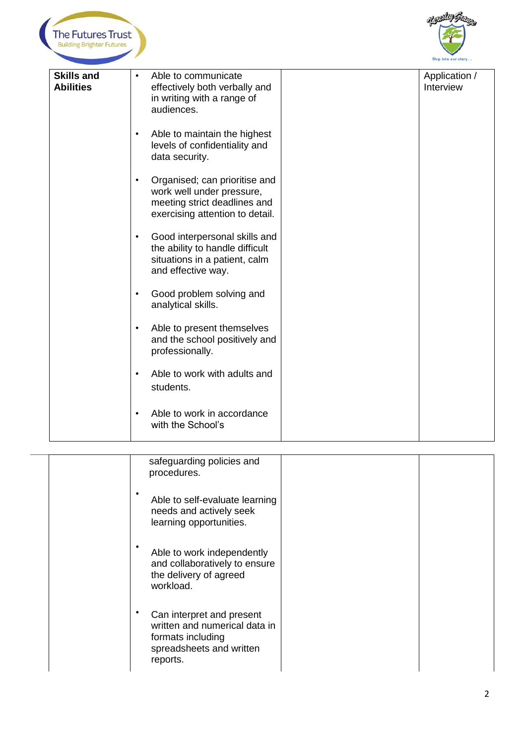



|                                       |                                                                                                                                                                                                                                                                                                                                                                                                                                                                                                                                                                                                                                                                                                                                                                                | Step into our story        |
|---------------------------------------|--------------------------------------------------------------------------------------------------------------------------------------------------------------------------------------------------------------------------------------------------------------------------------------------------------------------------------------------------------------------------------------------------------------------------------------------------------------------------------------------------------------------------------------------------------------------------------------------------------------------------------------------------------------------------------------------------------------------------------------------------------------------------------|----------------------------|
| <b>Skills and</b><br><b>Abilities</b> | Able to communicate<br>effectively both verbally and<br>in writing with a range of<br>audiences.<br>Able to maintain the highest<br>$\bullet$<br>levels of confidentiality and<br>data security.<br>Organised; can prioritise and<br>$\bullet$<br>work well under pressure,<br>meeting strict deadlines and<br>exercising attention to detail.<br>Good interpersonal skills and<br>$\bullet$<br>the ability to handle difficult<br>situations in a patient, calm<br>and effective way.<br>Good problem solving and<br>$\bullet$<br>analytical skills.<br>Able to present themselves<br>$\bullet$<br>and the school positively and<br>professionally.<br>Able to work with adults and<br>$\bullet$<br>students.<br>Able to work in accordance<br>$\bullet$<br>with the School's | Application /<br>Interview |
|                                       | safeguarding policies and<br>procedures.<br>$\bullet$<br>Able to self-evaluate learning<br>needs and actively seek<br>learning opportunities.<br>Able to work independently<br>and collaboratively to ensure<br>the delivery of agreed<br>workload.<br>Can interpret and present<br>written and numerical data in<br>formats including<br>spreadsheets and written<br>reports.                                                                                                                                                                                                                                                                                                                                                                                                 |                            |
|                                       |                                                                                                                                                                                                                                                                                                                                                                                                                                                                                                                                                                                                                                                                                                                                                                                | $\mathbf{2}$               |

| safeguarding policies and<br>procedures.                                                                                |  |
|-------------------------------------------------------------------------------------------------------------------------|--|
| Able to self-evaluate learning<br>needs and actively seek<br>learning opportunities.                                    |  |
| Able to work independently<br>and collaboratively to ensure<br>the delivery of agreed<br>workload.                      |  |
| Can interpret and present<br>written and numerical data in<br>formats including<br>spreadsheets and written<br>reports. |  |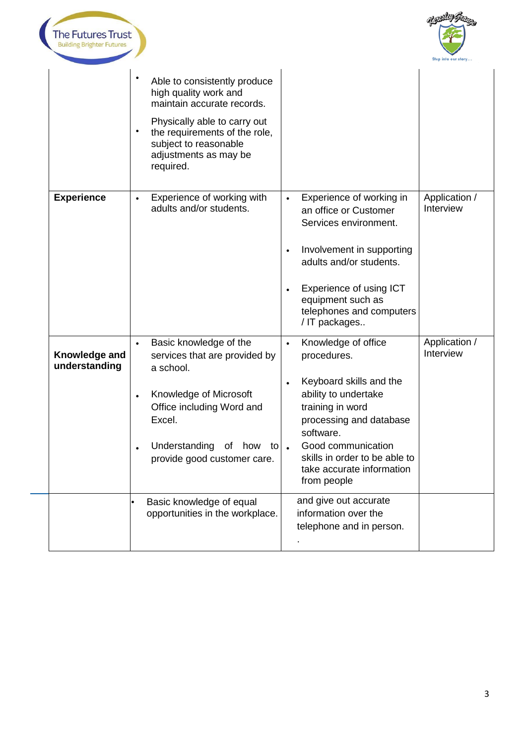



|                                | $\bullet$              | Able to consistently produce<br>high quality work and<br>maintain accurate records.<br>Physically able to carry out<br>the requirements of the role,<br>subject to reasonable<br>adjustments as may be<br>required. |                                     |                                                                                                                                                                                                                                                      |                            |
|--------------------------------|------------------------|---------------------------------------------------------------------------------------------------------------------------------------------------------------------------------------------------------------------|-------------------------------------|------------------------------------------------------------------------------------------------------------------------------------------------------------------------------------------------------------------------------------------------------|----------------------------|
| <b>Experience</b>              |                        | Experience of working with<br>adults and/or students.                                                                                                                                                               | $\bullet$<br>$\bullet$<br>$\bullet$ | Experience of working in<br>an office or Customer<br>Services environment.<br>Involvement in supporting<br>adults and/or students.<br>Experience of using ICT<br>equipment such as<br>telephones and computers<br>/ IT packages                      | Application /<br>Interview |
| Knowledge and<br>understanding | $\bullet$<br>$\bullet$ | Basic knowledge of the<br>services that are provided by<br>a school.<br>Knowledge of Microsoft<br>Office including Word and<br>Excel.<br>Understanding<br>of<br>how to<br>provide good customer care.               | $\bullet$<br>$\bullet$<br>$\bullet$ | Knowledge of office<br>procedures.<br>Keyboard skills and the<br>ability to undertake<br>training in word<br>processing and database<br>software.<br>Good communication<br>skills in order to be able to<br>take accurate information<br>from people | Application /<br>Interview |
|                                |                        | Basic knowledge of equal<br>opportunities in the workplace.                                                                                                                                                         |                                     | and give out accurate<br>information over the<br>telephone and in person.                                                                                                                                                                            |                            |